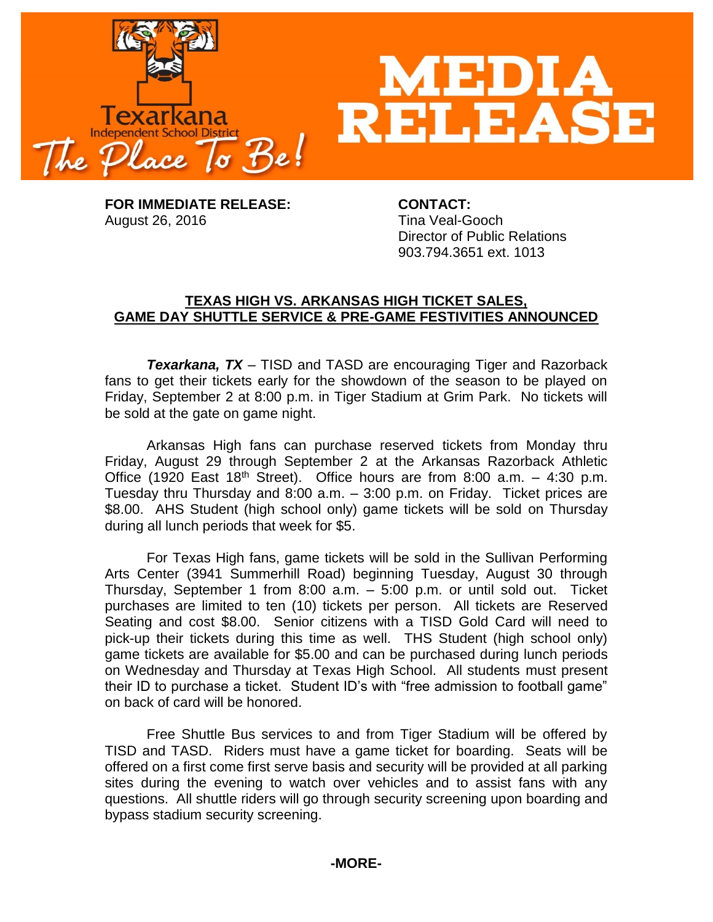

**FOR IMMEDIATE RELEASE: CONTACT:** August 26, 2016 **Time Veal-Gooch** 

Director of Public Relations 903.794.3651 ext. 1013

## **TEXAS HIGH VS. ARKANSAS HIGH TICKET SALES, GAME DAY SHUTTLE SERVICE & PRE-GAME FESTIVITIES ANNOUNCED**

*Texarkana, TX* – TISD and TASD are encouraging Tiger and Razorback fans to get their tickets early for the showdown of the season to be played on Friday, September 2 at 8:00 p.m. in Tiger Stadium at Grim Park. No tickets will be sold at the gate on game night.

Arkansas High fans can purchase reserved tickets from Monday thru Friday, August 29 through September 2 at the Arkansas Razorback Athletic Office (1920 East 18<sup>th</sup> Street). Office hours are from 8:00 a.m.  $-$  4:30 p.m. Tuesday thru Thursday and 8:00 a.m. – 3:00 p.m. on Friday. Ticket prices are \$8.00. AHS Student (high school only) game tickets will be sold on Thursday during all lunch periods that week for \$5.

For Texas High fans, game tickets will be sold in the Sullivan Performing Arts Center (3941 Summerhill Road) beginning Tuesday, August 30 through Thursday, September 1 from 8:00 a.m. – 5:00 p.m. or until sold out. Ticket purchases are limited to ten (10) tickets per person. All tickets are Reserved Seating and cost \$8.00. Senior citizens with a TISD Gold Card will need to pick-up their tickets during this time as well. THS Student (high school only) game tickets are available for \$5.00 and can be purchased during lunch periods on Wednesday and Thursday at Texas High School. All students must present their ID to purchase a ticket. Student ID's with "free admission to football game" on back of card will be honored.

Free Shuttle Bus services to and from Tiger Stadium will be offered by TISD and TASD. Riders must have a game ticket for boarding. Seats will be offered on a first come first serve basis and security will be provided at all parking sites during the evening to watch over vehicles and to assist fans with any questions. All shuttle riders will go through security screening upon boarding and bypass stadium security screening.